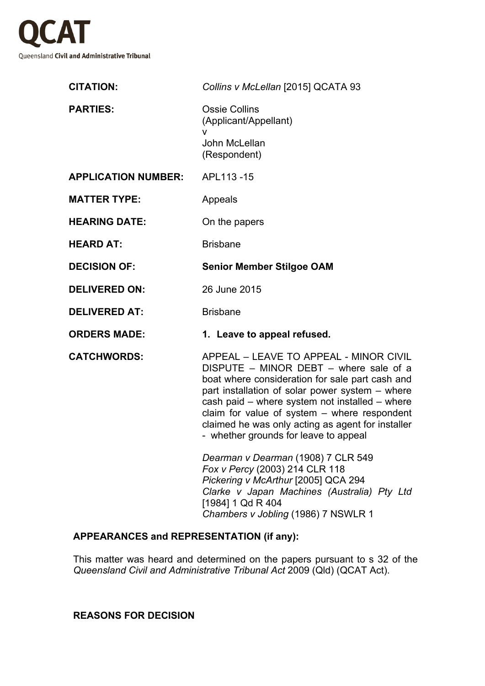

| <b>CITATION:</b>           | Collins v McLellan [2015] QCATA 93                                                                                                                                                                                                                                                                                                                                                       |
|----------------------------|------------------------------------------------------------------------------------------------------------------------------------------------------------------------------------------------------------------------------------------------------------------------------------------------------------------------------------------------------------------------------------------|
| <b>PARTIES:</b>            | <b>Ossie Collins</b><br>(Applicant/Appellant)                                                                                                                                                                                                                                                                                                                                            |
|                            | v<br>John McLellan<br>(Respondent)                                                                                                                                                                                                                                                                                                                                                       |
| <b>APPLICATION NUMBER:</b> | APL113-15                                                                                                                                                                                                                                                                                                                                                                                |
| <b>MATTER TYPE:</b>        | Appeals                                                                                                                                                                                                                                                                                                                                                                                  |
| <b>HEARING DATE:</b>       | On the papers                                                                                                                                                                                                                                                                                                                                                                            |
| <b>HEARD AT:</b>           | <b>Brisbane</b>                                                                                                                                                                                                                                                                                                                                                                          |
| <b>DECISION OF:</b>        | <b>Senior Member Stilgoe OAM</b>                                                                                                                                                                                                                                                                                                                                                         |
| <b>DELIVERED ON:</b>       | 26 June 2015                                                                                                                                                                                                                                                                                                                                                                             |
| <b>DELIVERED AT:</b>       | <b>Brisbane</b>                                                                                                                                                                                                                                                                                                                                                                          |
| <b>ORDERS MADE:</b>        | 1. Leave to appeal refused.                                                                                                                                                                                                                                                                                                                                                              |
| <b>CATCHWORDS:</b>         | APPEAL - LEAVE TO APPEAL - MINOR CIVIL<br>DISPUTE - MINOR DEBT - where sale of a<br>boat where consideration for sale part cash and<br>part installation of solar power system – where<br>cash paid – where system not installed – where<br>claim for value of system $-$ where respondent<br>claimed he was only acting as agent for installer<br>- whether grounds for leave to appeal |
|                            | Dearman v Dearman (1908) 7 CLR 549<br>Fox v Percy (2003) 214 CLR 118<br>Pickering v McArthur [2005] QCA 294<br>Clarke v Japan Machines (Australia) Pty Ltd<br>[1984] 1 Qd R 404<br>Chambers v Jobling (1986) 7 NSWLR 1                                                                                                                                                                   |

## **APPEARANCES and REPRESENTATION (if any):**

This matter was heard and determined on the papers pursuant to s 32 of the *Queensland Civil and Administrative Tribunal Act* 2009 (Qld) (QCAT Act).

## **REASONS FOR DECISION**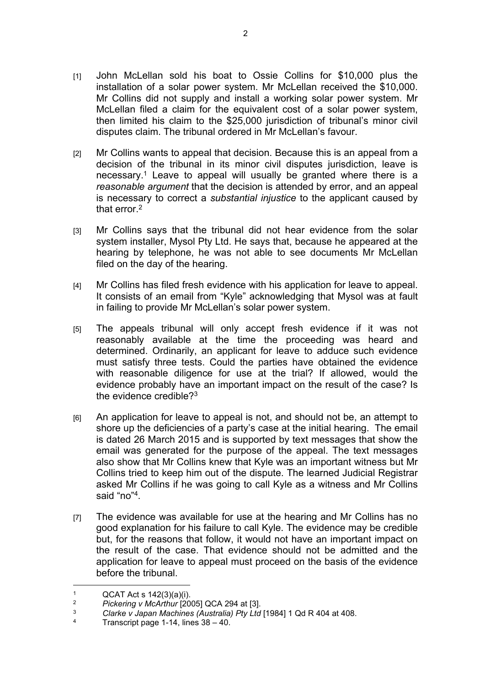- [1] John McLellan sold his boat to Ossie Collins for \$10,000 plus the installation of a solar power system. Mr McLellan received the \$10,000. Mr Collins did not supply and install a working solar power system. Mr McLellan filed a claim for the equivalent cost of a solar power system, then limited his claim to the \$25,000 jurisdiction of tribunal's minor civil disputes claim. The tribunal ordered in Mr McLellan's favour.
- [2] Mr Collins wants to appeal that decision. Because this is an appeal from a decision of the tribunal in its minor civil disputes jurisdiction, leave is necessary.<sup>1</sup> Leave to appeal will usually be granted where there is a *reasonable argument* that the decision is attended by error, and an appeal is necessary to correct a *substantial injustice* to the applicant caused by that error.<sup>2</sup>
- [3] Mr Collins says that the tribunal did not hear evidence from the solar system installer, Mysol Pty Ltd. He says that, because he appeared at the hearing by telephone, he was not able to see documents Mr McLellan filed on the day of the hearing.
- [4] Mr Collins has filed fresh evidence with his application for leave to appeal. It consists of an email from "Kyle" acknowledging that Mysol was at fault in failing to provide Mr McLellan's solar power system.
- [5] The appeals tribunal will only accept fresh evidence if it was not reasonably available at the time the proceeding was heard and determined. Ordinarily, an applicant for leave to adduce such evidence must satisfy three tests. Could the parties have obtained the evidence with reasonable diligence for use at the trial? If allowed, would the evidence probably have an important impact on the result of the case? Is the evidence credible?<sup>3</sup>
- [6] An application for leave to appeal is not, and should not be, an attempt to shore up the deficiencies of a party's case at the initial hearing. The email is dated 26 March 2015 and is supported by text messages that show the email was generated for the purpose of the appeal. The text messages also show that Mr Collins knew that Kyle was an important witness but Mr Collins tried to keep him out of the dispute. The learned Judicial Registrar asked Mr Collins if he was going to call Kyle as a witness and Mr Collins said "no"<sup>4</sup>.
- [7] The evidence was available for use at the hearing and Mr Collins has no good explanation for his failure to call Kyle. The evidence may be credible but, for the reasons that follow, it would not have an important impact on the result of the case. That evidence should not be admitted and the application for leave to appeal must proceed on the basis of the evidence before the tribunal.

<sup>1</sup>  $QCAT Acts 142(3)(a)(i).$ 

<sup>2</sup> *Pickering v McArthur* [2005] QCA 294 at [3].

<sup>3</sup> *Clarke v Japan Machines (Australia) Pty Ltd* [1984] 1 Qd R 404 at 408.

<sup>4</sup> Transcript page 1-14, lines  $38 - 40$ .